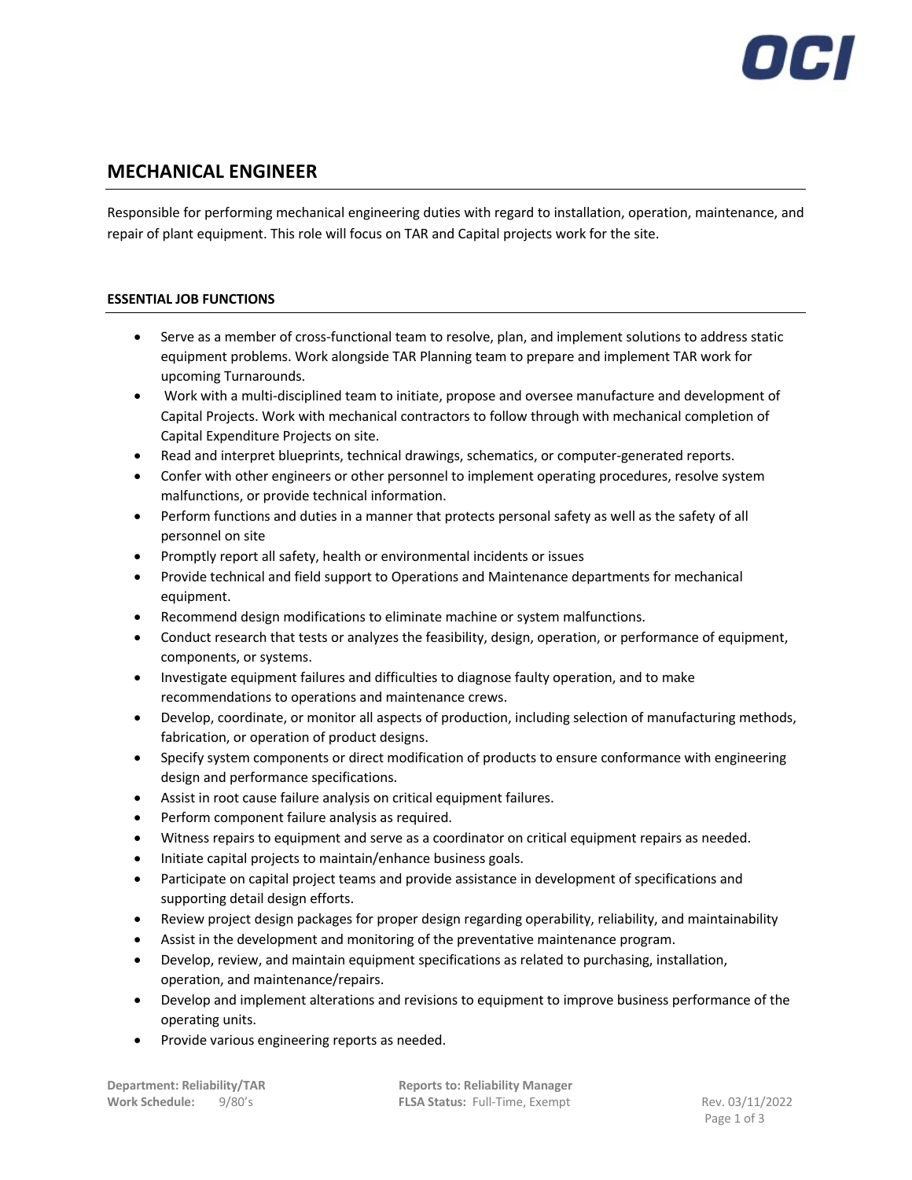## **MECHANICAL ENGINEER**

Responsible for performing mechanical engineering duties with regard to installation, operation, maintenance, and repair of plant equipment. This role will focus on TAR and Capital projects work for the site.

## **ESSENTIAL JOB FUNCTIONS**

- Serve as a member of cross-functional team to resolve, plan, and implement solutions to address static equipment problems. Work alongside TAR Planning team to prepare and implement TAR work for upcoming Turnarounds.
- Work with a multi-disciplined team to initiate, propose and oversee manufacture and development of Capital Projects. Work with mechanical contractors to follow through with mechanical completion of Capital Expenditure Projects on site.
- Read and interpret blueprints, technical drawings, schematics, or computer-generated reports.
- Confer with other engineers or other personnel to implement operating procedures, resolve system malfunctions, or provide technical information.
- Perform functions and duties in a manner that protects personal safety as well as the safety of all personnel on site
- Promptly report all safety, health or environmental incidents or issues
- Provide technical and field support to Operations and Maintenance departments for mechanical equipment.
- Recommend design modifications to eliminate machine or system malfunctions.
- Conduct research that tests or analyzes the feasibility, design, operation, or performance of equipment, components, or systems.
- Investigate equipment failures and difficulties to diagnose faulty operation, and to make recommendations to operations and maintenance crews.
- Develop, coordinate, or monitor all aspects of production, including selection of manufacturing methods, fabrication, or operation of product designs.
- Specify system components or direct modification of products to ensure conformance with engineering design and performance specifications.
- Assist in root cause failure analysis on critical equipment failures.
- Perform component failure analysis as required.
- Witness repairs to equipment and serve as a coordinator on critical equipment repairs as needed.
- Initiate capital projects to maintain/enhance business goals.
- Participate on capital project teams and provide assistance in development of specifications and supporting detail design efforts.
- Review project design packages for proper design regarding operability, reliability, and maintainability
- Assist in the development and monitoring of the preventative maintenance program.
- Develop, review, and maintain equipment specifications as related to purchasing, installation, operation, and maintenance/repairs.
- Develop and implement alterations and revisions to equipment to improve business performance of the operating units.
- Provide various engineering reports as needed.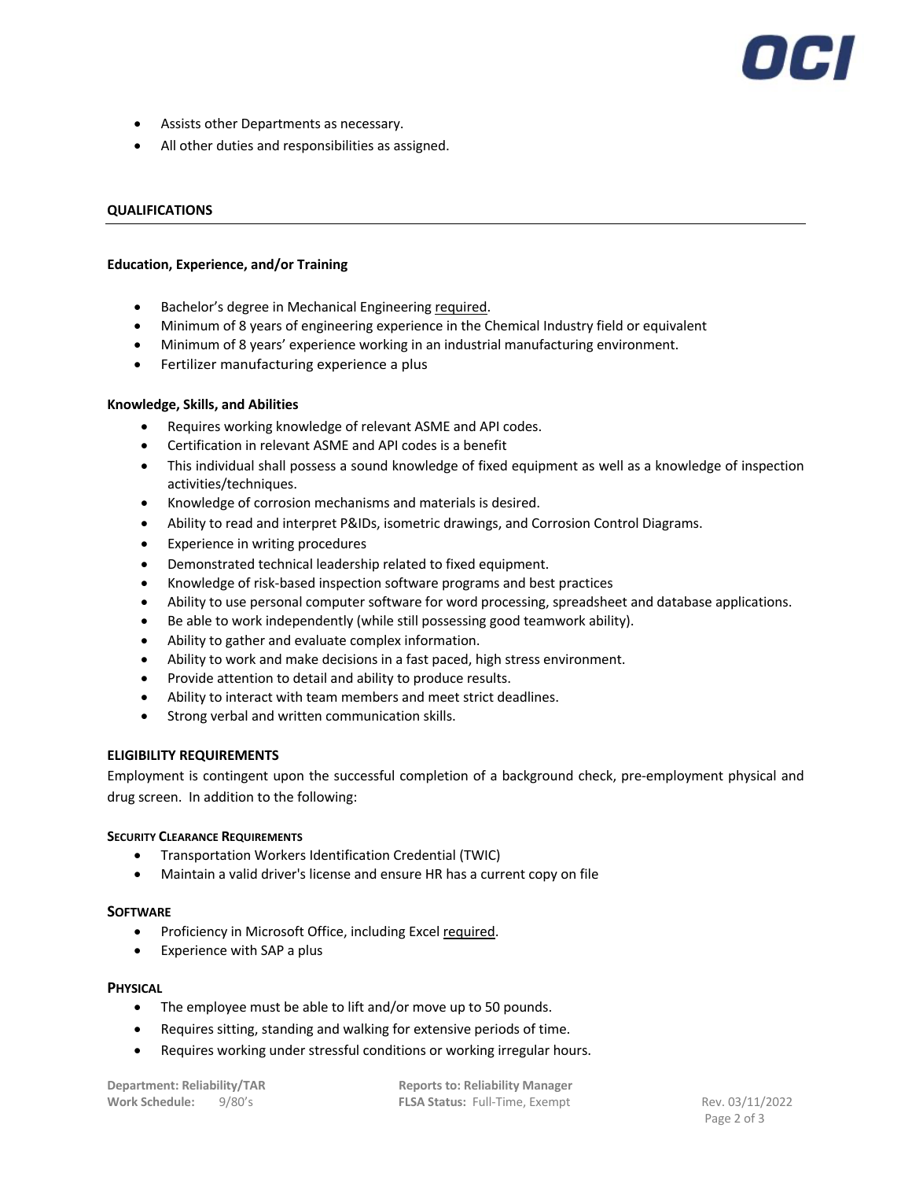# 70 H

- Assists other Departments as necessary.
- All other duties and responsibilities as assigned.

#### **QUALIFICATIONS**

#### **Education, Experience, and/or Training**

- Bachelor's degree in Mechanical Engineering required.
- Minimum of 8 years of engineering experience in the Chemical Industry field or equivalent
- Minimum of 8 years' experience working in an industrial manufacturing environment.
- Fertilizer manufacturing experience a plus

#### **Knowledge, Skills, and Abilities**

- Requires working knowledge of relevant ASME and API codes.
- Certification in relevant ASME and API codes is a benefit
- This individual shall possess a sound knowledge of fixed equipment as well as a knowledge of inspection activities/techniques.
- Knowledge of corrosion mechanisms and materials is desired.
- Ability to read and interpret P&IDs, isometric drawings, and Corrosion Control Diagrams.
- Experience in writing procedures
- Demonstrated technical leadership related to fixed equipment.
- Knowledge of risk-based inspection software programs and best practices
- Ability to use personal computer software for word processing, spreadsheet and database applications.
- Be able to work independently (while still possessing good teamwork ability).
- Ability to gather and evaluate complex information.
- Ability to work and make decisions in a fast paced, high stress environment.
- Provide attention to detail and ability to produce results.
- Ability to interact with team members and meet strict deadlines.
- Strong verbal and written communication skills.

#### **ELIGIBILITY REQUIREMENTS**

Employment is contingent upon the successful completion of a background check, pre-employment physical and drug screen. In addition to the following:

#### **SECURITY CLEARANCE REQUIREMENTS**

- Transportation Workers Identification Credential (TWIC)
- Maintain a valid driver's license and ensure HR has a current copy on file

#### **SOFTWARE**

- Proficiency in Microsoft Office, including Excel required.
- Experience with SAP a plus

#### **PHYSICAL**

- The employee must be able to lift and/or move up to 50 pounds.
- Requires sitting, standing and walking for extensive periods of time.
- Requires working under stressful conditions or working irregular hours.

**Department: Reliability/TAR Reports to: Reliability Manager Work Schedule:** 9/80's **FLSA Status:** Full-Time, Exempt Rev. 03/11/2022